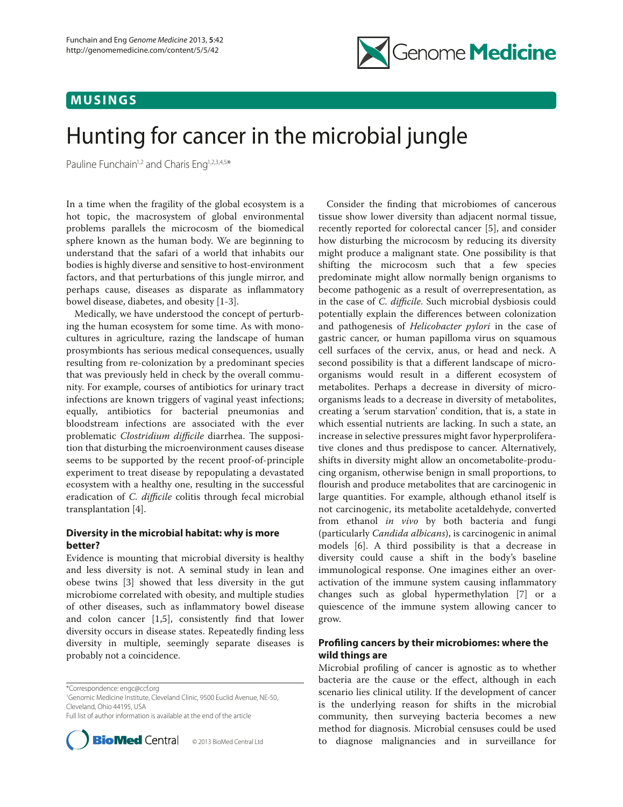# **M U S I N G S**



# Hunting for cancer in the microbial jungle

Pauline Funchain<sup>1,2</sup> and Charis Eng<sup>1,2,3,4,5\*</sup>

In a time when the fragility of the global ecosystem is a hot topic, the macrosystem of global environmental problems parallels the microcosm of the biomedical sphere known as the human body. We are beginning to understand that the safari of a world that inhabits our bodies is highly diverse and sensitive to host-environment factors, and that perturbations of this jungle mirror, and perhaps cause, diseases as disparate as inflammatory bowel disease, diabetes, and obesity [1-3].

Medically, we have understood the concept of perturbing the human ecosystem for some time. As with monocultures in agriculture, razing the landscape of human prosymbionts has serious medical consequences, usually resulting from re-colonization by a predominant species that was previously held in check by the overall community. For example, courses of antibiotics for urinary tract infections are known triggers of vaginal yeast infections; equally, antibiotics for bacterial pneumonias and bloodstream infections are associated with the ever problematic *Clostridium difficile* diarrhea. The supposition that disturbing the microenvironment causes disease seems to be supported by the recent proof-of-principle experiment to treat disease by repopulating a devastated ecosystem with a healthy one, resulting in the successful eradication of *C. difficile* colitis through fecal microbial transplantation [4].

## **Diversity in the microbial habitat: why is more better?**

Evidence is mounting that microbial diversity is healthy and less diversity is not. A seminal study in lean and obese twins [3] showed that less diversity in the gut microbiome correlated with obesity, and multiple studies of other diseases, such as inflammatory bowel disease and colon cancer  $[1,5]$ , consistently find that lower diversity occurs in disease states. Repeatedly finding less diversity in multiple, seemingly separate diseases is probably not a coincidence.

\*Correspondence: engc@ccf.org

1 Genomic Medicine Institute, Cleveland Clinic, 9500 Euclid Avenue, NE-50, Cleveland, Ohio 44195, USA

Full list of author information is available at the end of the article



© 2013 BioMed Central Ltd

Consider the finding that microbiomes of cancerous tissue show lower diversity than adjacent normal tissue, recently reported for colorectal cancer [5], and consider how disturbing the microcosm by reducing its diversity might produce a malignant state. One possibility is that shifting the microcosm such that a few species predominate might allow normally benign organisms to become pathogenic as a result of overrepresentation, as in the case of *C. difficile*. Such microbial dysbiosis could potentially explain the differences between colonization and pathogenesis of *Helicobacter pylori* in the case of gastric cancer, or human papilloma virus on squamous cell surfaces of the cervix, anus, or head and neck. A second possibility is that a different landscape of microorganisms would result in a different ecosystem of metabolites. Perhaps a decrease in diversity of microorganisms leads to a decrease in diversity of metabolites, creating a 'serum starvation' condition, that is, a state in which essential nutrients are lacking. In such a state, an increase in selective pressures might favor hyperproliferative clones and thus predispose to cancer. Alternatively, shifts in diversity might allow an oncometabolite-producing organism, otherwise benign in small proportions, to flourish and produce metabolites that are carcinogenic in large quantities. For example, although ethanol itself is not carcinogenic, its metabolite acetaldehyde, converted from ethanol *in vivo* by both bacteria and fungi (particularly *Candida albicans*), is carcinogenic in animal models [6]. A third possibility is that a decrease in diversity could cause a shift in the body's baseline immunological response. One imagines either an overactivation of the immune system causing inflammatory changes such as global hypermethylation [7] or a quiescence of the immune system allowing cancer to grow.

## **Profiling cancers by their microbiomes: where the wild things are**

Microbial profiling of cancer is agnostic as to whether bacteria are the cause or the effect, although in each scenario lies clinical utility. If the development of cancer is the underlying reason for shifts in the microbial community, then surveying bacteria becomes a new method for diagnosis. Microbial censuses could be used **BioMed** Central © 2013 BioMed Central Ltd to diagnose malignancies and in surveillance for